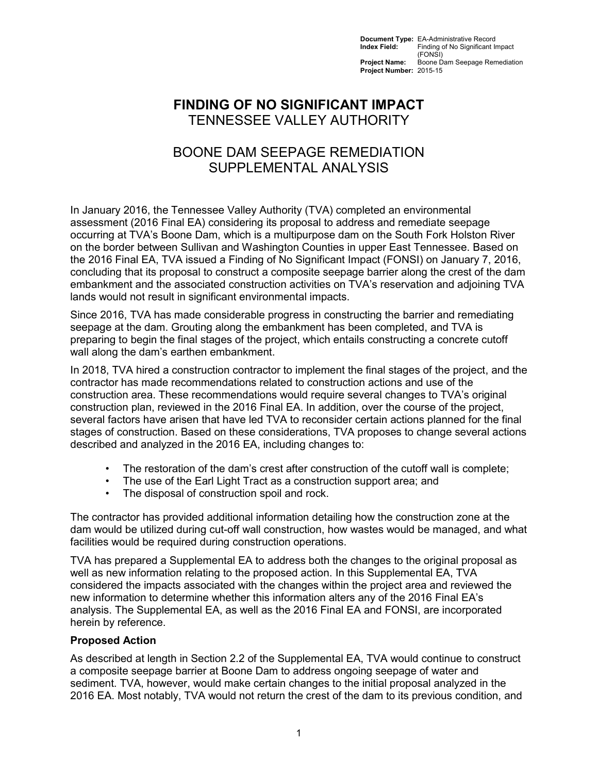**Document Type:** EA-Administrative Record<br>**Index Field:** Finding of No Significant In **Index Field:** Finding of No Significant Impact (FONSI) **Project Name:** Boone Dam Seepage Remediation **Project Number:** 2015-15

## **FINDING OF NO SIGNIFICANT IMPACT** TENNESSEE VALLEY AUTHORITY

# BOONE DAM SEEPAGE REMEDIATION SUPPLEMENTAL ANALYSIS

In January 2016, the Tennessee Valley Authority (TVA) completed an environmental assessment (2016 Final EA) considering its proposal to address and remediate seepage occurring at TVA's Boone Dam, which is a multipurpose dam on the South Fork Holston River on the border between Sullivan and Washington Counties in upper East Tennessee. Based on the 2016 Final EA, TVA issued a Finding of No Significant Impact (FONSI) on January 7, 2016, concluding that its proposal to construct a composite seepage barrier along the crest of the dam embankment and the associated construction activities on TVA's reservation and adjoining TVA lands would not result in significant environmental impacts.

Since 2016, TVA has made considerable progress in constructing the barrier and remediating seepage at the dam. Grouting along the embankment has been completed, and TVA is preparing to begin the final stages of the project, which entails constructing a concrete cutoff wall along the dam's earthen embankment.

In 2018, TVA hired a construction contractor to implement the final stages of the project, and the contractor has made recommendations related to construction actions and use of the construction area. These recommendations would require several changes to TVA's original construction plan, reviewed in the 2016 Final EA. In addition, over the course of the project, several factors have arisen that have led TVA to reconsider certain actions planned for the final stages of construction. Based on these considerations, TVA proposes to change several actions described and analyzed in the 2016 EA, including changes to:

- The restoration of the dam's crest after construction of the cutoff wall is complete;
- The use of the Earl Light Tract as a construction support area; and
- The disposal of construction spoil and rock.

The contractor has provided additional information detailing how the construction zone at the dam would be utilized during cut-off wall construction, how wastes would be managed, and what facilities would be required during construction operations.

TVA has prepared a Supplemental EA to address both the changes to the original proposal as well as new information relating to the proposed action. In this Supplemental EA, TVA considered the impacts associated with the changes within the project area and reviewed the new information to determine whether this information alters any of the 2016 Final EA's analysis. The Supplemental EA, as well as the 2016 Final EA and FONSI, are incorporated herein by reference.

#### **Proposed Action**

As described at length in Section 2.2 of the Supplemental EA, TVA would continue to construct a composite seepage barrier at Boone Dam to address ongoing seepage of water and sediment. TVA, however, would make certain changes to the initial proposal analyzed in the 2016 EA. Most notably, TVA would not return the crest of the dam to its previous condition, and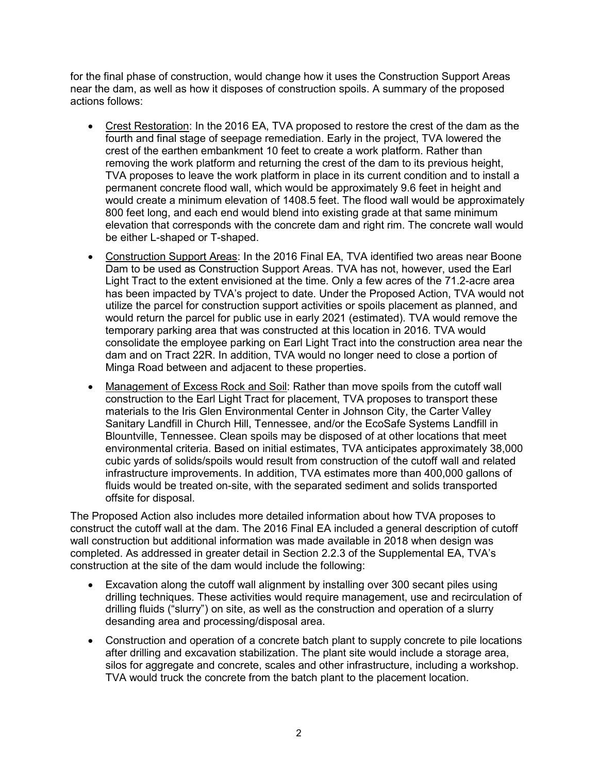for the final phase of construction, would change how it uses the Construction Support Areas near the dam, as well as how it disposes of construction spoils. A summary of the proposed actions follows:

- Crest Restoration: In the 2016 EA, TVA proposed to restore the crest of the dam as the fourth and final stage of seepage remediation. Early in the project, TVA lowered the crest of the earthen embankment 10 feet to create a work platform. Rather than removing the work platform and returning the crest of the dam to its previous height, TVA proposes to leave the work platform in place in its current condition and to install a permanent concrete flood wall, which would be approximately 9.6 feet in height and would create a minimum elevation of 1408.5 feet. The flood wall would be approximately 800 feet long, and each end would blend into existing grade at that same minimum elevation that corresponds with the concrete dam and right rim. The concrete wall would be either L-shaped or T-shaped.
- Construction Support Areas: In the 2016 Final EA, TVA identified two areas near Boone Dam to be used as Construction Support Areas. TVA has not, however, used the Earl Light Tract to the extent envisioned at the time. Only a few acres of the 71.2-acre area has been impacted by TVA's project to date. Under the Proposed Action, TVA would not utilize the parcel for construction support activities or spoils placement as planned, and would return the parcel for public use in early 2021 (estimated). TVA would remove the temporary parking area that was constructed at this location in 2016. TVA would consolidate the employee parking on Earl Light Tract into the construction area near the dam and on Tract 22R. In addition, TVA would no longer need to close a portion of Minga Road between and adjacent to these properties.
- Management of Excess Rock and Soil: Rather than move spoils from the cutoff wall construction to the Earl Light Tract for placement, TVA proposes to transport these materials to the Iris Glen Environmental Center in Johnson City, the Carter Valley Sanitary Landfill in Church Hill, Tennessee, and/or the EcoSafe Systems Landfill in Blountville, Tennessee. Clean spoils may be disposed of at other locations that meet environmental criteria. Based on initial estimates, TVA anticipates approximately 38,000 cubic yards of solids/spoils would result from construction of the cutoff wall and related infrastructure improvements. In addition, TVA estimates more than 400,000 gallons of fluids would be treated on-site, with the separated sediment and solids transported offsite for disposal.

The Proposed Action also includes more detailed information about how TVA proposes to construct the cutoff wall at the dam. The 2016 Final EA included a general description of cutoff wall construction but additional information was made available in 2018 when design was completed. As addressed in greater detail in Section 2.2.3 of the Supplemental EA, TVA's construction at the site of the dam would include the following:

- Excavation along the cutoff wall alignment by installing over 300 secant piles using drilling techniques. These activities would require management, use and recirculation of drilling fluids ("slurry") on site, as well as the construction and operation of a slurry desanding area and processing/disposal area.
- Construction and operation of a concrete batch plant to supply concrete to pile locations after drilling and excavation stabilization. The plant site would include a storage area, silos for aggregate and concrete, scales and other infrastructure, including a workshop. TVA would truck the concrete from the batch plant to the placement location.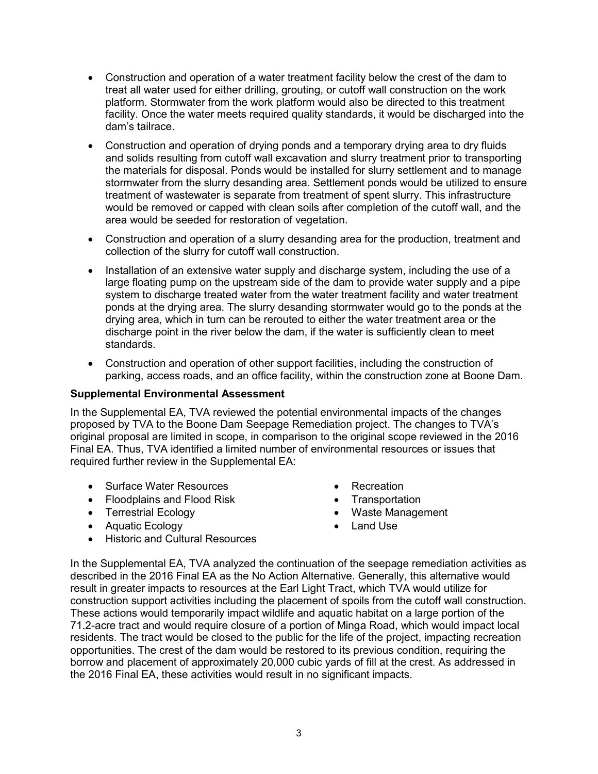- Construction and operation of a water treatment facility below the crest of the dam to treat all water used for either drilling, grouting, or cutoff wall construction on the work platform. Stormwater from the work platform would also be directed to this treatment facility. Once the water meets required quality standards, it would be discharged into the dam's tailrace.
- Construction and operation of drying ponds and a temporary drying area to dry fluids and solids resulting from cutoff wall excavation and slurry treatment prior to transporting the materials for disposal. Ponds would be installed for slurry settlement and to manage stormwater from the slurry desanding area. Settlement ponds would be utilized to ensure treatment of wastewater is separate from treatment of spent slurry. This infrastructure would be removed or capped with clean soils after completion of the cutoff wall, and the area would be seeded for restoration of vegetation.
- Construction and operation of a slurry desanding area for the production, treatment and collection of the slurry for cutoff wall construction.
- Installation of an extensive water supply and discharge system, including the use of a large floating pump on the upstream side of the dam to provide water supply and a pipe system to discharge treated water from the water treatment facility and water treatment ponds at the drying area. The slurry desanding stormwater would go to the ponds at the drying area, which in turn can be rerouted to either the water treatment area or the discharge point in the river below the dam, if the water is sufficiently clean to meet standards.
- Construction and operation of other support facilities, including the construction of parking, access roads, and an office facility, within the construction zone at Boone Dam.

#### **Supplemental Environmental Assessment**

In the Supplemental EA, TVA reviewed the potential environmental impacts of the changes proposed by TVA to the Boone Dam Seepage Remediation project. The changes to TVA's original proposal are limited in scope, in comparison to the original scope reviewed in the 2016 Final EA. Thus, TVA identified a limited number of environmental resources or issues that required further review in the Supplemental EA:

- Surface Water Resources
- Floodplains and Flood Risk
- Terrestrial Ecology
- Aquatic Ecology
- Recreation
- Transportation
- Waste Management
- Land Use
- Historic and Cultural Resources

In the Supplemental EA, TVA analyzed the continuation of the seepage remediation activities as described in the 2016 Final EA as the No Action Alternative. Generally, this alternative would result in greater impacts to resources at the Earl Light Tract, which TVA would utilize for construction support activities including the placement of spoils from the cutoff wall construction. These actions would temporarily impact wildlife and aquatic habitat on a large portion of the 71.2-acre tract and would require closure of a portion of Minga Road, which would impact local residents. The tract would be closed to the public for the life of the project, impacting recreation opportunities. The crest of the dam would be restored to its previous condition, requiring the borrow and placement of approximately 20,000 cubic yards of fill at the crest. As addressed in the 2016 Final EA, these activities would result in no significant impacts.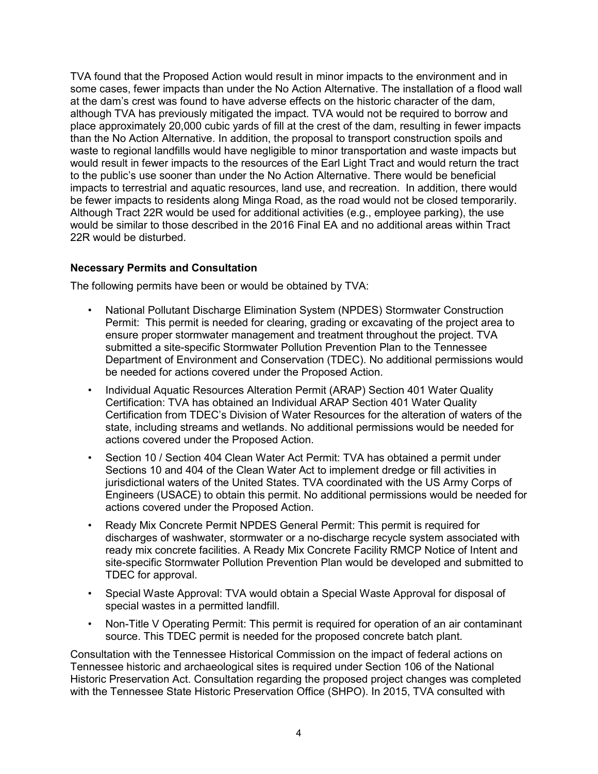TVA found that the Proposed Action would result in minor impacts to the environment and in some cases, fewer impacts than under the No Action Alternative. The installation of a flood wall at the dam's crest was found to have adverse effects on the historic character of the dam, although TVA has previously mitigated the impact. TVA would not be required to borrow and place approximately 20,000 cubic yards of fill at the crest of the dam, resulting in fewer impacts than the No Action Alternative. In addition, the proposal to transport construction spoils and waste to regional landfills would have negligible to minor transportation and waste impacts but would result in fewer impacts to the resources of the Earl Light Tract and would return the tract to the public's use sooner than under the No Action Alternative. There would be beneficial impacts to terrestrial and aquatic resources, land use, and recreation. In addition, there would be fewer impacts to residents along Minga Road, as the road would not be closed temporarily. Although Tract 22R would be used for additional activities (e.g., employee parking), the use would be similar to those described in the 2016 Final EA and no additional areas within Tract 22R would be disturbed.

#### **Necessary Permits and Consultation**

The following permits have been or would be obtained by TVA:

- National Pollutant Discharge Elimination System (NPDES) Stormwater Construction Permit: This permit is needed for clearing, grading or excavating of the project area to ensure proper stormwater management and treatment throughout the project. TVA submitted a site-specific Stormwater Pollution Prevention Plan to the Tennessee Department of Environment and Conservation (TDEC). No additional permissions would be needed for actions covered under the Proposed Action.
- Individual Aquatic Resources Alteration Permit (ARAP) Section 401 Water Quality Certification: TVA has obtained an Individual ARAP Section 401 Water Quality Certification from TDEC's Division of Water Resources for the alteration of waters of the state, including streams and wetlands. No additional permissions would be needed for actions covered under the Proposed Action.
- Section 10 / Section 404 Clean Water Act Permit: TVA has obtained a permit under Sections 10 and 404 of the Clean Water Act to implement dredge or fill activities in jurisdictional waters of the United States. TVA coordinated with the US Army Corps of Engineers (USACE) to obtain this permit. No additional permissions would be needed for actions covered under the Proposed Action.
- Ready Mix Concrete Permit NPDES General Permit: This permit is required for discharges of washwater, stormwater or a no-discharge recycle system associated with ready mix concrete facilities. A Ready Mix Concrete Facility RMCP Notice of Intent and site-specific Stormwater Pollution Prevention Plan would be developed and submitted to TDEC for approval.
- Special Waste Approval: TVA would obtain a Special Waste Approval for disposal of special wastes in a permitted landfill.
- Non-Title V Operating Permit: This permit is required for operation of an air contaminant source. This TDEC permit is needed for the proposed concrete batch plant.

Consultation with the Tennessee Historical Commission on the impact of federal actions on Tennessee historic and archaeological sites is required under Section 106 of the National Historic Preservation Act. Consultation regarding the proposed project changes was completed with the Tennessee State Historic Preservation Office (SHPO). In 2015, TVA consulted with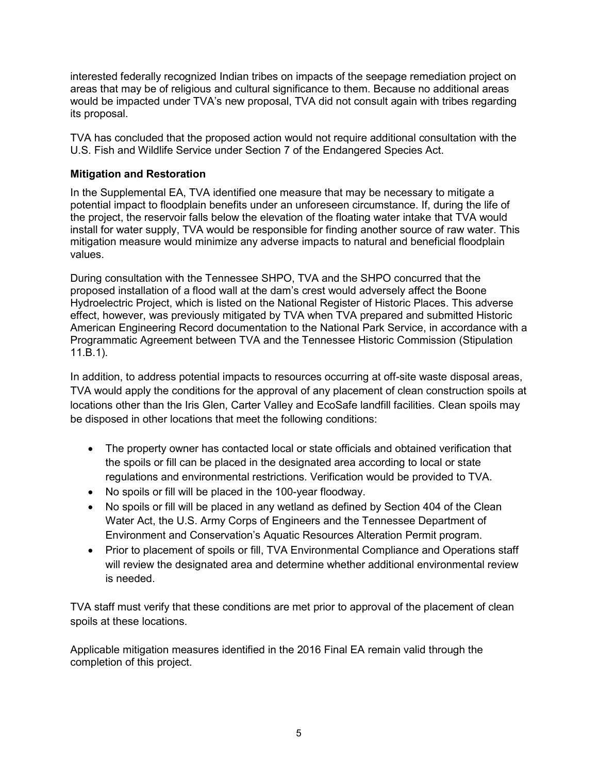interested federally recognized Indian tribes on impacts of the seepage remediation project on areas that may be of religious and cultural significance to them. Because no additional areas would be impacted under TVA's new proposal, TVA did not consult again with tribes regarding its proposal.

TVA has concluded that the proposed action would not require additional consultation with the U.S. Fish and Wildlife Service under Section 7 of the Endangered Species Act.

### **Mitigation and Restoration**

In the Supplemental EA, TVA identified one measure that may be necessary to mitigate a potential impact to floodplain benefits under an unforeseen circumstance. If, during the life of the project, the reservoir falls below the elevation of the floating water intake that TVA would install for water supply, TVA would be responsible for finding another source of raw water. This mitigation measure would minimize any adverse impacts to natural and beneficial floodplain values.

During consultation with the Tennessee SHPO, TVA and the SHPO concurred that the proposed installation of a flood wall at the dam's crest would adversely affect the Boone Hydroelectric Project, which is listed on the National Register of Historic Places. This adverse effect, however, was previously mitigated by TVA when TVA prepared and submitted Historic American Engineering Record documentation to the National Park Service, in accordance with a Programmatic Agreement between TVA and the Tennessee Historic Commission (Stipulation 11.B.1).

In addition, to address potential impacts to resources occurring at off-site waste disposal areas, TVA would apply the conditions for the approval of any placement of clean construction spoils at locations other than the Iris Glen, Carter Valley and EcoSafe landfill facilities. Clean spoils may be disposed in other locations that meet the following conditions:

- The property owner has contacted local or state officials and obtained verification that the spoils or fill can be placed in the designated area according to local or state regulations and environmental restrictions. Verification would be provided to TVA.
- No spoils or fill will be placed in the 100-year floodway.
- No spoils or fill will be placed in any wetland as defined by Section 404 of the Clean Water Act, the U.S. Army Corps of Engineers and the Tennessee Department of Environment and Conservation's Aquatic Resources Alteration Permit program.
- Prior to placement of spoils or fill, TVA Environmental Compliance and Operations staff will review the designated area and determine whether additional environmental review is needed.

TVA staff must verify that these conditions are met prior to approval of the placement of clean spoils at these locations.

Applicable mitigation measures identified in the 2016 Final EA remain valid through the completion of this project.